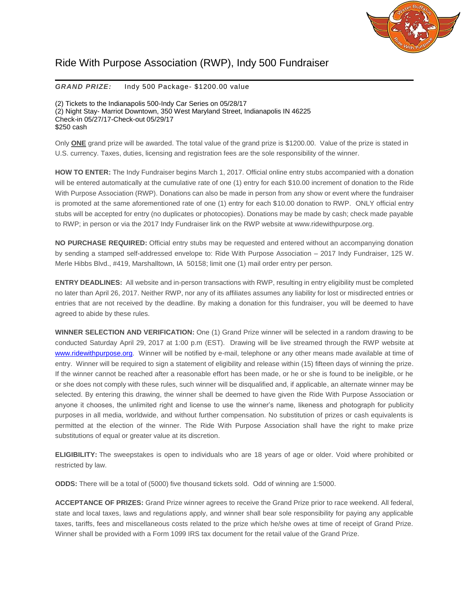

## Ride With Purpose Association (RWP), Indy 500 Fundraiser

## *GRAND PRIZE:* Indy 500 Package- \$1200.00 value

(2) Tickets to the Indianapolis 500-Indy Car Series on 05/28/17 (2) Night Stay- Marriot Downtown, 350 West Maryland Street, Indianapolis IN 46225 Check-in 05/27/17-Check-out 05/29/17 \$250 cash

Only **ONE** grand prize will be awarded. The total value of the grand prize is \$1200.00. Value of the prize is stated in U.S. currency. Taxes, duties, licensing and registration fees are the sole responsibility of the winner.

**HOW TO ENTER:** The Indy Fundraiser begins March 1, 2017. Official online entry stubs accompanied with a donation will be entered automatically at the cumulative rate of one (1) entry for each \$10.00 increment of donation to the Ride With Purpose Association (RWP). Donations can also be made in person from any show or event where the fundraiser is promoted at the same aforementioned rate of one (1) entry for each \$10.00 donation to RWP. ONLY official entry stubs will be accepted for entry (no duplicates or photocopies). Donations may be made by cash; check made payable to RWP; in person or via the 2017 Indy Fundraiser link on the RWP website at www.ridewithpurpose.org.

**NO PURCHASE REQUIRED:** Official entry stubs may be requested and entered without an accompanying donation by sending a stamped self-addressed envelope to: Ride With Purpose Association – 2017 Indy Fundraiser, 125 W. Merle Hibbs Blvd., #419, Marshalltown, IA 50158; limit one (1) mail order entry per person.

**ENTRY DEADLINES:** All website and in-person transactions with RWP, resulting in entry eligibility must be completed no later than April 26, 2017. Neither RWP, nor any of its affiliates assumes any liability for lost or misdirected entries or entries that are not received by the deadline. By making a donation for this fundraiser, you will be deemed to have agreed to abide by these rules.

**WINNER SELECTION AND VERIFICATION:** One (1) Grand Prize winner will be selected in a random drawing to be conducted Saturday April 29, 2017 at 1:00 p.m (EST). Drawing will be live streamed through the RWP website at [www.ridewithpurpose.org.](http://www.ridewithpurpose.org/) Winner will be notified by e-mail, telephone or any other means made available at time of entry. Winner will be required to sign a statement of eligibility and release within (15) fifteen days of winning the prize. If the winner cannot be reached after a reasonable effort has been made, or he or she is found to be ineligible, or he or she does not comply with these rules, such winner will be disqualified and, if applicable, an alternate winner may be selected. By entering this drawing, the winner shall be deemed to have given the Ride With Purpose Association or anyone it chooses, the unlimited right and license to use the winner's name, likeness and photograph for publicity purposes in all media, worldwide, and without further compensation. No substitution of prizes or cash equivalents is permitted at the election of the winner. The Ride With Purpose Association shall have the right to make prize substitutions of equal or greater value at its discretion.

**ELIGIBILITY:** The sweepstakes is open to individuals who are 18 years of age or older. Void where prohibited or restricted by law.

**ODDS:** There will be a total of (5000) five thousand tickets sold. Odd of winning are 1:5000.

**ACCEPTANCE OF PRIZES:** Grand Prize winner agrees to receive the Grand Prize prior to race weekend. All federal, state and local taxes, laws and regulations apply, and winner shall bear sole responsibility for paying any applicable taxes, tariffs, fees and miscellaneous costs related to the prize which he/she owes at time of receipt of Grand Prize. Winner shall be provided with a Form 1099 IRS tax document for the retail value of the Grand Prize.